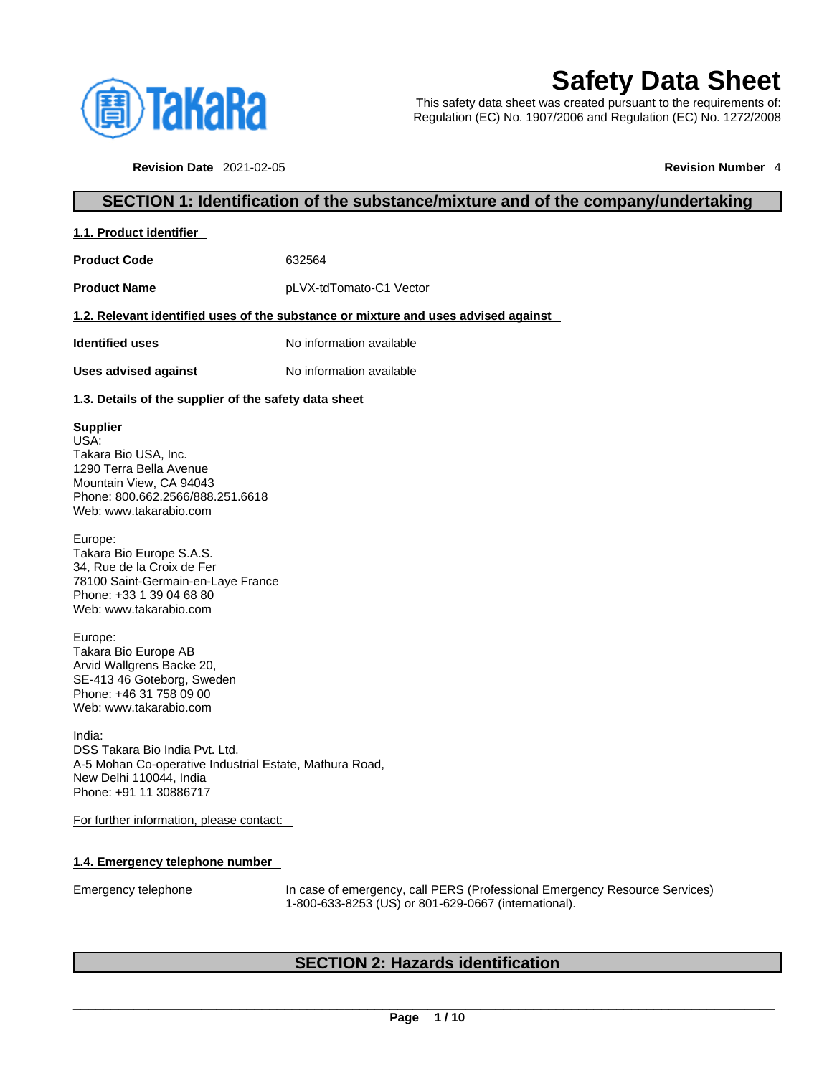

# **Safety Data Sheet**

This safety data sheet was created pursuant to the requirements of: Regulation (EC) No. 1907/2006 and Regulation (EC) No. 1272/2008

**Revision Date** 2021-02-05 **Revision Number** 4

# **SECTION 1: Identification of the substance/mixture and of the company/undertaking**

| 1.1. Product identifier |
|-------------------------|
|-------------------------|

**Product Code** 632564

**Product Name** pLVX-tdTomato-C1 Vector

# **1.2. Relevant identified uses of the substance or mixture and uses advised against**

**Identified uses** No information available

**Uses advised against** No information available

# **1.3. Details of the supplier of the safety data sheet**

# **Supplier**

USA: Takara Bio USA, Inc. 1290 Terra Bella Avenue Mountain View, CA 94043 Phone: 800.662.2566/888.251.6618 Web: www.takarabio.com

Europe: Takara Bio Europe S.A.S. 34, Rue de la Croix de Fer 78100 Saint-Germain-en-Laye France Phone: +33 1 39 04 68 80 Web: www.takarabio.com

Europe: Takara Bio Europe AB Arvid Wallgrens Backe 20, SE-413 46 Goteborg, Sweden Phone: +46 31 758 09 00 Web: www.takarabio.com

India: DSS Takara Bio India Pvt. Ltd. A-5 Mohan Co-operative Industrial Estate, Mathura Road, New Delhi 110044, India Phone: +91 11 30886717

For further information, please contact:

# **1.4. Emergency telephone number**

Emergency telephone In case of emergency, call PERS (Professional Emergency Resource Services) 1-800-633-8253 (US) or 801-629-0667 (international).

# **SECTION 2: Hazards identification**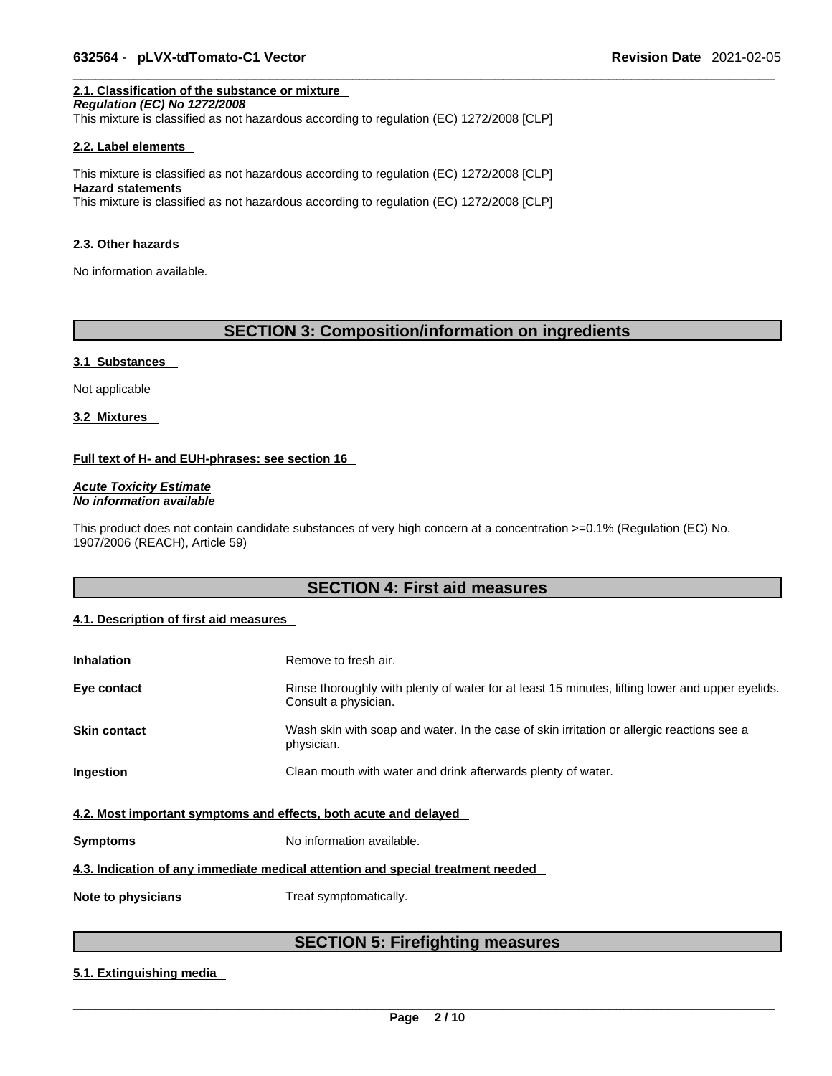# **2.1. Classification of the substance or mixture**

*Regulation (EC) No 1272/2008*  This mixture is classified as not hazardous according to regulation (EC) 1272/2008 [CLP]

#### **2.2. Label elements**

This mixture is classified as not hazardous according to regulation (EC) 1272/2008 [CLP] **Hazard statements** This mixture is classified as not hazardous according to regulation (EC) 1272/2008 [CLP]

#### **2.3. Other hazards**

No information available.

# **SECTION 3: Composition/information on ingredients**

#### **3.1 Substances**

Not applicable

**3.2 Mixtures** 

## **Full text of H- and EUH-phrases: see section 16**

*Acute Toxicity Estimate No information available* 

This product does not contain candidate substances of very high concern at a concentration >=0.1% (Regulation (EC) No. 1907/2006 (REACH), Article 59)

# **SECTION 4: First aid measures**

# **4.1. Description of first aid measures**

| <b>Inhalation</b>                                                | Remove to fresh air.                                                                                                    |
|------------------------------------------------------------------|-------------------------------------------------------------------------------------------------------------------------|
| Eye contact                                                      | Rinse thoroughly with plenty of water for at least 15 minutes, lifting lower and upper eyelids.<br>Consult a physician. |
| <b>Skin contact</b>                                              | Wash skin with soap and water. In the case of skin irritation or allergic reactions see a<br>physician.                 |
| Ingestion                                                        | Clean mouth with water and drink afterwards plenty of water.                                                            |
| 4.2. Most important symptoms and effects, both acute and delayed |                                                                                                                         |
| <b>Symptoms</b>                                                  | No information available.                                                                                               |
|                                                                  | 4.3. Indication of any immediate medical attention and special treatment needed                                         |
| Note to physicians                                               | Treat symptomatically.                                                                                                  |

# **SECTION 5: Firefighting measures**

## **5.1. Extinguishing media**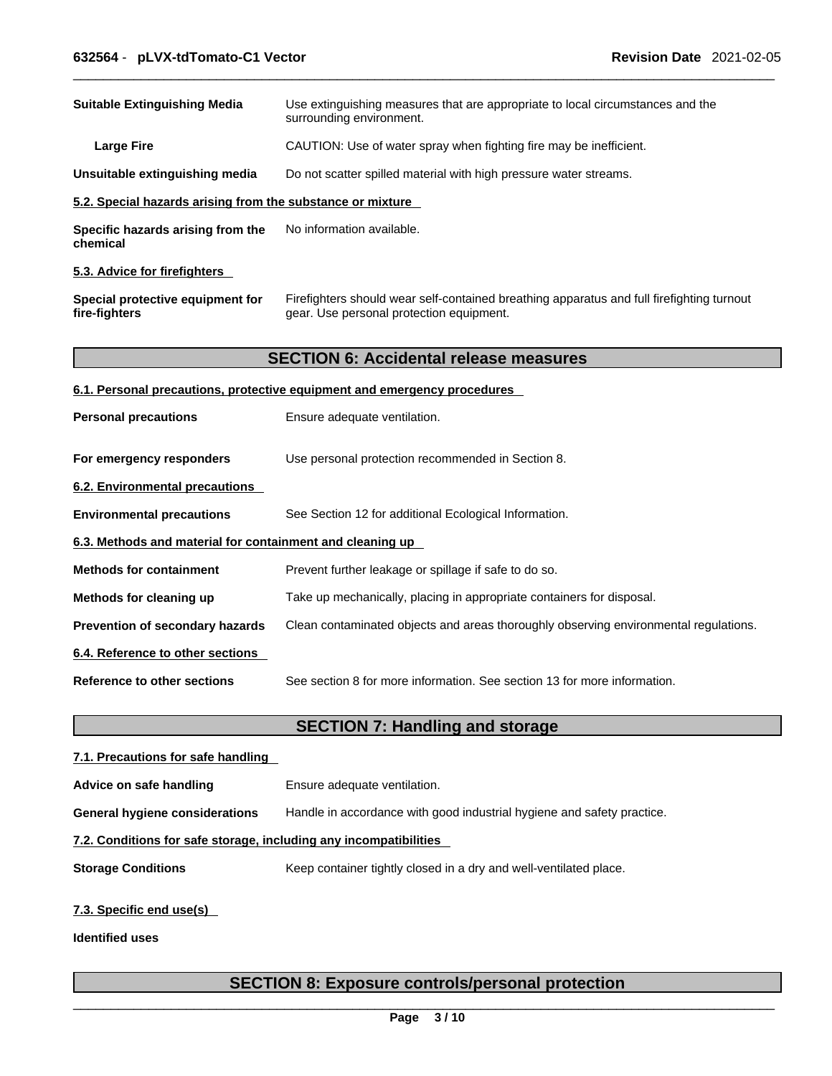| <b>Suitable Extinguishing Media</b>                                        | Use extinguishing measures that are appropriate to local circumstances and the<br>surrounding environment.                            |
|----------------------------------------------------------------------------|---------------------------------------------------------------------------------------------------------------------------------------|
| <b>Large Fire</b>                                                          | CAUTION: Use of water spray when fighting fire may be inefficient.                                                                    |
| Unsuitable extinguishing media                                             | Do not scatter spilled material with high pressure water streams.                                                                     |
| 5.2. Special hazards arising from the substance or mixture                 |                                                                                                                                       |
| No information available.<br>Specific hazards arising from the<br>chemical |                                                                                                                                       |
| 5.3. Advice for firefighters                                               |                                                                                                                                       |
| Special protective equipment for<br>fire-fighters                          | Firefighters should wear self-contained breathing apparatus and full firefighting turnout<br>gear. Use personal protection equipment. |
|                                                                            | <b>SECTION 6: Accidental release measures</b>                                                                                         |
|                                                                            | 6.1. Personal precautions, protective equipment and emergency procedures                                                              |
| <b>Personal precautions</b>                                                | Ensure adequate ventilation.                                                                                                          |
| For emergency responders                                                   | Use personal protection recommended in Section 8.                                                                                     |
| 6.2. Environmental precautions                                             |                                                                                                                                       |
| <b>Environmental precautions</b>                                           | See Section 12 for additional Ecological Information.                                                                                 |
| 6.3. Methods and material for containment and cleaning up                  |                                                                                                                                       |
| <b>Methods for containment</b>                                             | Prevent further leakage or spillage if safe to do so.                                                                                 |
| Methods for cleaning up                                                    | Take up mechanically, placing in appropriate containers for disposal.                                                                 |
| Prevention of secondary hazards                                            | Clean contaminated objects and areas thoroughly observing environmental regulations.                                                  |
| 6.4. Reference to other sections                                           |                                                                                                                                       |
| <b>Reference to other sections</b>                                         | See section 8 for more information. See section 13 for more information.                                                              |
|                                                                            | <b>SECTION 7: Handling and storage</b>                                                                                                |
| 7.1. Precautions for safe handling                                         |                                                                                                                                       |

**Advice on safe handling** Ensure adequate ventilation. **General hygiene considerations** Handle in accordance with good industrial hygiene and safety practice.

**7.2. Conditions for safe storage, including any incompatibilities**

**Storage Conditions** Keep container tightly closed in a dry and well-ventilated place.

# **7.3. Specific end use(s)**

**Identified uses**

# **SECTION 8: Exposure controls/personal protection**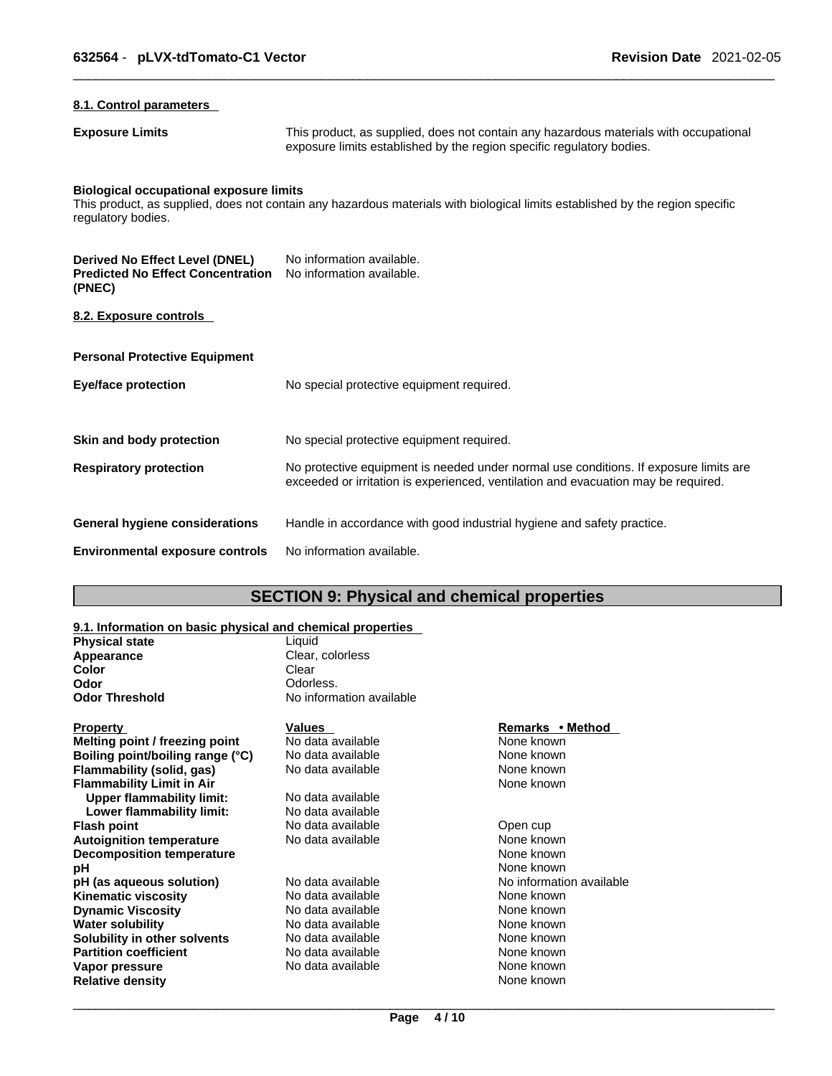# **8.1. Control parameters**

**Exposure Limits** This product, as supplied, does not contain any hazardous materials with occupational exposure limits established by the region specific regulatory bodies.

# **Biological occupational exposure limits**

This product, as supplied, does not contain any hazardous materials with biological limits established by the region specific regulatory bodies.

| Derived No Effect Level (DNEL)<br><b>Predicted No Effect Concentration</b><br>(PNEC) | No information available.<br>No information available.                                                                                                                      |
|--------------------------------------------------------------------------------------|-----------------------------------------------------------------------------------------------------------------------------------------------------------------------------|
| 8.2. Exposure controls                                                               |                                                                                                                                                                             |
| <b>Personal Protective Equipment</b>                                                 |                                                                                                                                                                             |
| Eye/face protection                                                                  | No special protective equipment required.                                                                                                                                   |
| Skin and body protection                                                             | No special protective equipment required.                                                                                                                                   |
| <b>Respiratory protection</b>                                                        | No protective equipment is needed under normal use conditions. If exposure limits are<br>exceeded or irritation is experienced, ventilation and evacuation may be required. |
| General hygiene considerations                                                       | Handle in accordance with good industrial hygiene and safety practice.                                                                                                      |
| <b>Environmental exposure controls</b>                                               | No information available.                                                                                                                                                   |

# **SECTION 9: Physical and chemical properties**

# **9.1. Information on basic physical and chemical properties**

| <b>Physical state</b> | Liauid                   |
|-----------------------|--------------------------|
| Appearance            | Clear, colorless         |
| Color                 | Clear                    |
| Odor                  | Odorless.                |
| <b>Odor Threshold</b> | No information available |
|                       |                          |
|                       |                          |

| Property                         | Values            | Remarks • Method         |  |
|----------------------------------|-------------------|--------------------------|--|
| Melting point / freezing point   | No data available | None known               |  |
| Boiling point/boiling range (°C) | No data available | None known               |  |
| Flammability (solid, gas)        | No data available | None known               |  |
| Flammability Limit in Air        |                   | None known               |  |
| Upper flammability limit:        | No data available |                          |  |
| Lower flammability limit:        | No data available |                          |  |
| Flash point                      | No data available | Open cup                 |  |
| Autoignition temperature         | No data available | None known               |  |
| <b>Decomposition temperature</b> |                   | None known               |  |
| pН                               |                   | None known               |  |
| pH (as aqueous solution)         | No data available | No information available |  |
| Kinematic viscosity              | No data available | None known               |  |
| <b>Dynamic Viscosity</b>         | No data available | None known               |  |
| Water solubility                 | No data available | None known               |  |
| Solubility in other solvents     | No data available | None known               |  |
| <b>Partition coefficient</b>     | No data available | None known               |  |
| Vapor pressure                   | No data available | None known               |  |
| <b>Relative density</b>          |                   | None known               |  |
|                                  |                   |                          |  |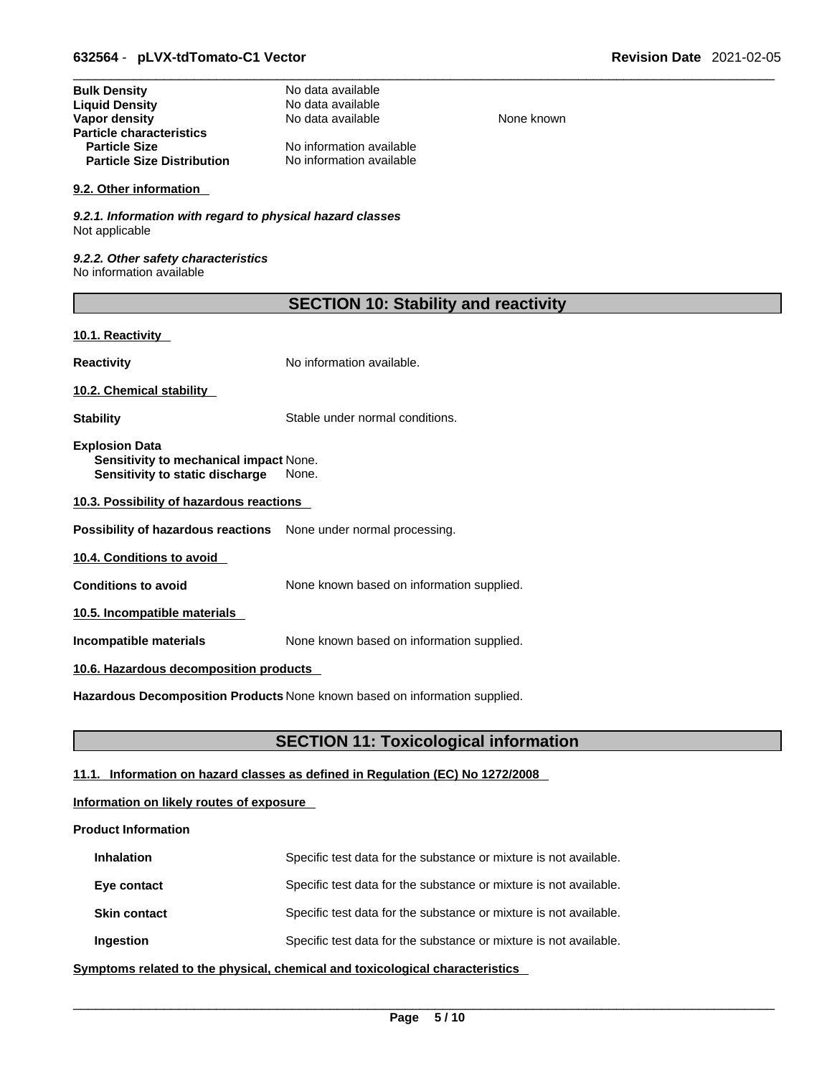| <b>Bulk Density</b>               | No data available        |
|-----------------------------------|--------------------------|
| <b>Liquid Density</b>             | No data available        |
| Vapor density                     | No data available        |
| <b>Particle characteristics</b>   |                          |
| <b>Particle Size</b>              | No information available |
| <b>Particle Size Distribution</b> | No information available |

## **9.2. Other information**

*9.2.1. Information with regard to physical hazard classes* Not applicable

*9.2.2. Other safety characteristics* No information available

| <b>SECTION 10: Stability and reactivity</b> |  |  |
|---------------------------------------------|--|--|
|---------------------------------------------|--|--|

**None known** 

# **10.1. Reactivity**

**Reactivity No information available.** 

**10.2. Chemical stability** 

**Stability** Stable under normal conditions.

**Explosion Data Sensitivity to mechanical impact** None. **Sensitivity to static discharge** None.

**10.3. Possibility of hazardous reactions**

**Possibility of hazardous reactions** None under normal processing.

**10.4. Conditions to avoid** 

**Conditions to avoid** None known based on information supplied.

**10.5. Incompatible materials**

**Incompatible materials** None known based on information supplied.

# **10.6. Hazardous decomposition products**

**Hazardous Decomposition Products** None known based on information supplied.

# **SECTION 11: Toxicological information**

# **11.1. Information on hazard classes as defined in Regulation (EC) No 1272/2008**

# **Information on likely routes of exposure**

# **Product Information**

| <b>Inhalation</b>   | Specific test data for the substance or mixture is not available. |
|---------------------|-------------------------------------------------------------------|
| Eye contact         | Specific test data for the substance or mixture is not available. |
| <b>Skin contact</b> | Specific test data for the substance or mixture is not available. |
| Ingestion           | Specific test data for the substance or mixture is not available. |

**<u>Symptoms related to the physical, chemical and toxicological characteristics</u>**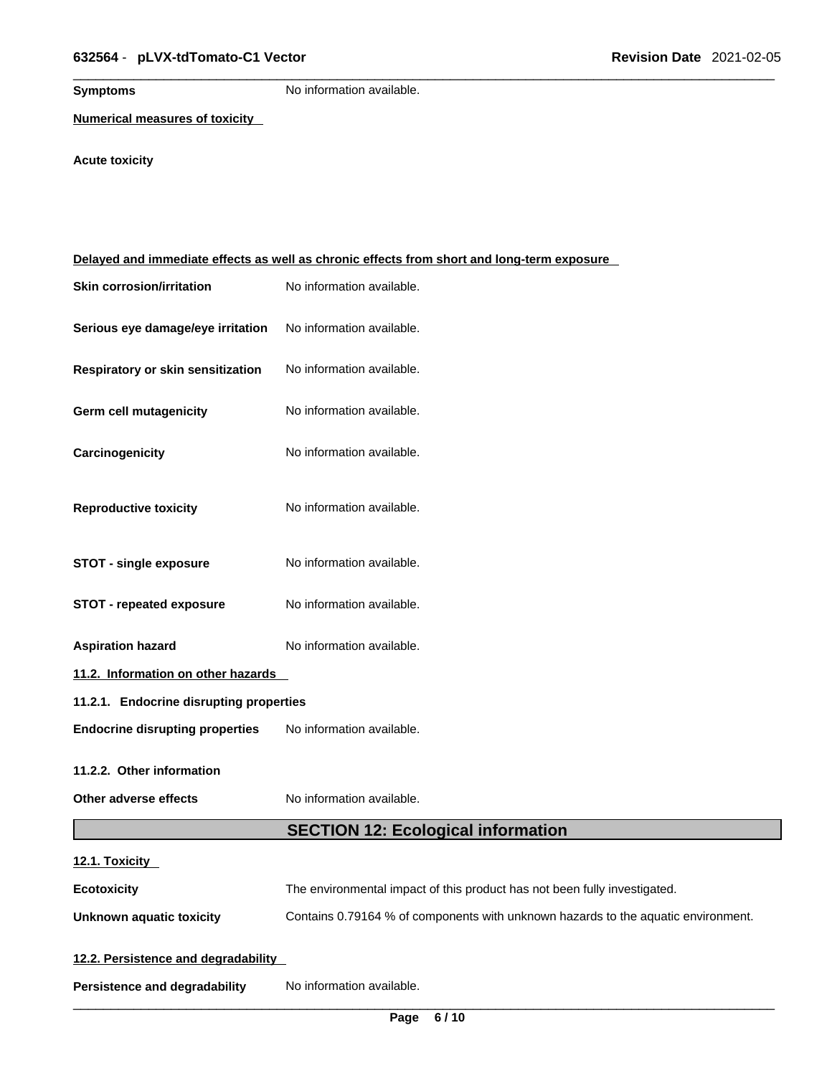**Symptoms** No information available.

**Numerical measures of toxicity**

# **Acute toxicity**

| Delayed and immediate effects as well as chronic effects from short and long-term exposure |                                                                                   |  |  |
|--------------------------------------------------------------------------------------------|-----------------------------------------------------------------------------------|--|--|
| <b>Skin corrosion/irritation</b>                                                           | No information available.                                                         |  |  |
| Serious eye damage/eye irritation                                                          | No information available.                                                         |  |  |
| Respiratory or skin sensitization                                                          | No information available.                                                         |  |  |
| Germ cell mutagenicity                                                                     | No information available.                                                         |  |  |
| Carcinogenicity                                                                            | No information available.                                                         |  |  |
| <b>Reproductive toxicity</b>                                                               | No information available.                                                         |  |  |
| <b>STOT - single exposure</b>                                                              | No information available.                                                         |  |  |
| <b>STOT - repeated exposure</b>                                                            | No information available.                                                         |  |  |
| <b>Aspiration hazard</b>                                                                   | No information available.                                                         |  |  |
| 11.2. Information on other hazards                                                         |                                                                                   |  |  |
| 11.2.1. Endocrine disrupting properties                                                    |                                                                                   |  |  |
| <b>Endocrine disrupting properties</b>                                                     | No information available.                                                         |  |  |
| 11.2.2. Other information                                                                  |                                                                                   |  |  |
| Other adverse effects                                                                      | No information available.                                                         |  |  |
|                                                                                            | <b>SECTION 12: Ecological information</b>                                         |  |  |
| 12.1. Toxicity                                                                             |                                                                                   |  |  |
| <b>Ecotoxicity</b>                                                                         | The environmental impact of this product has not been fully investigated.         |  |  |
| <b>Unknown aquatic toxicity</b>                                                            | Contains 0.79164 % of components with unknown hazards to the aquatic environment. |  |  |
| 12.2. Persistence and degradability                                                        |                                                                                   |  |  |
| <b>Persistence and degradability</b>                                                       | No information available.                                                         |  |  |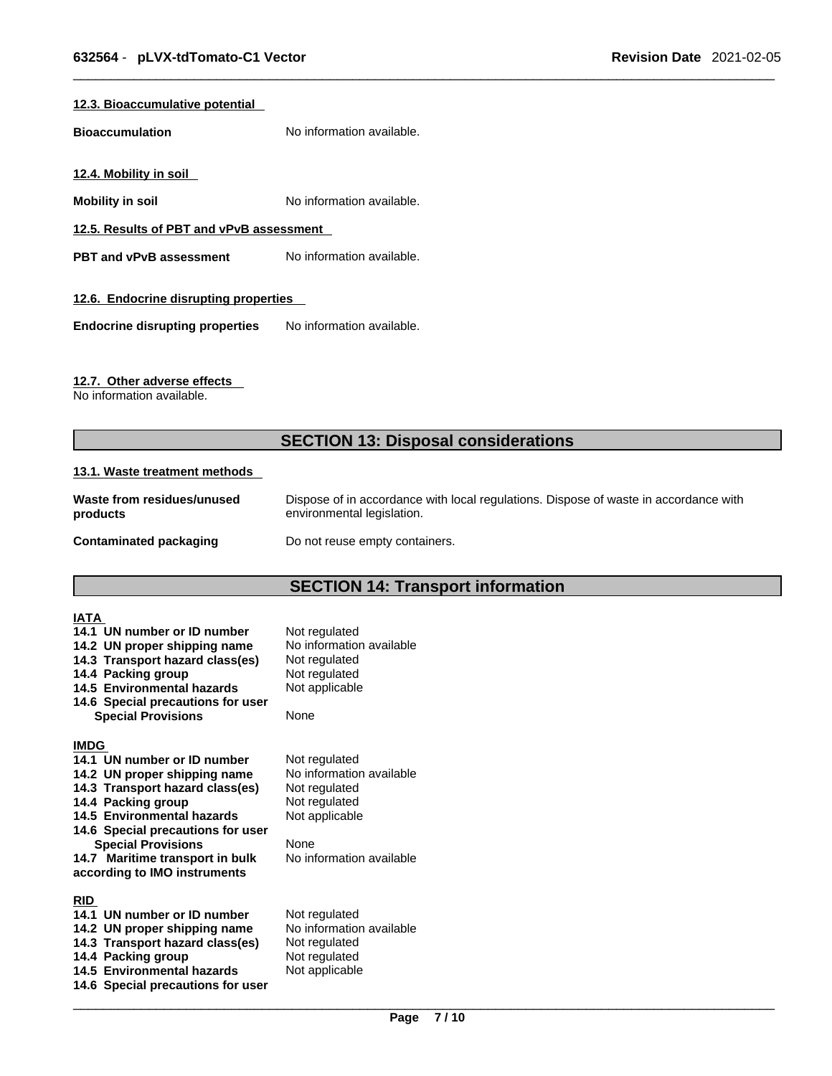# **12.3. Bioaccumulative potential**

**Bioaccumulation** No information available.

**12.4. Mobility in soil** 

**Mobility in soil Mobility in soil No** information available.

**12.5. Results of PBT and vPvB assessment**

**PBT** and **vPvB** assessment No information available.

# **12.6. Endocrine disrupting properties**

**Endocrine disrupting properties** No information available.

# **12.7. Other adverse effects**

No information available.

# **SECTION 13: Disposal considerations**

## **13.1. Waste treatment methods**

| Waste from residues/unused | Dispose of in accordance with local regulations. Dispose of waste in accordance with |
|----------------------------|--------------------------------------------------------------------------------------|
| products                   | environmental legislation.                                                           |
| Contaminated packaging     | Do not reuse empty containers.                                                       |

# **SECTION 14: Transport information**

| IATA        |                                                             |                                           |
|-------------|-------------------------------------------------------------|-------------------------------------------|
|             | 14.1 UN number or ID number<br>14.2 UN proper shipping name | Not regulated<br>No information available |
|             | 14.3 Transport hazard class(es)                             | Not regulated                             |
|             | 14.4 Packing group                                          | Not regulated                             |
|             | 14.5 Environmental hazards                                  | Not applicable                            |
|             | 14.6 Special precautions for user                           |                                           |
|             | <b>Special Provisions</b>                                   | None                                      |
| <b>IMDG</b> |                                                             |                                           |
|             | 14.1 UN number or ID number                                 | Not regulated                             |
|             | 14.2 UN proper shipping name                                | No information available                  |
|             | 14.3 Transport hazard class(es)                             | Not regulated                             |
|             | 14.4 Packing group                                          | Not regulated                             |
|             | 14.5 Environmental hazards                                  | Not applicable                            |
|             | 14.6 Special precautions for user                           |                                           |
|             | <b>Special Provisions</b>                                   | None                                      |
|             | 14.7 Maritime transport in bulk                             | No information available                  |
|             | according to IMO instruments                                |                                           |
| <b>RID</b>  |                                                             |                                           |
|             | 14.1 UN number or ID number                                 | Not regulated                             |
|             | 14.2 UN proper shipping name                                | No information available                  |
|             | 14.3 Transport hazard class(es)                             | Not regulated                             |
|             | 14.4 Packing group                                          | Not regulated                             |
|             | 14.5 Environmental hazards                                  | Not applicable                            |
|             | 14.6 Special precautions for user                           |                                           |
|             |                                                             |                                           |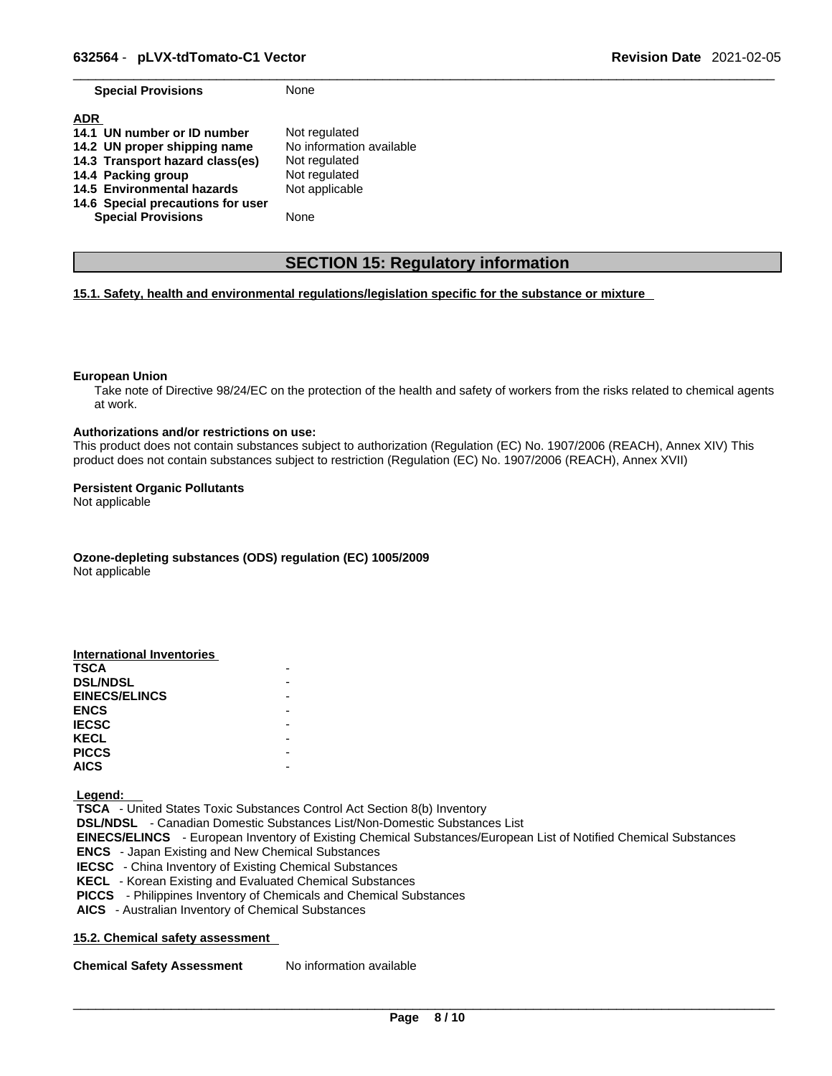**Special Provisions** None

| <b>ADR</b><br>14.1 UN number or ID number<br>14.2 UN proper shipping name<br>14.3 Transport hazard class(es) | Not regulated<br>No information available<br>Not regulated |
|--------------------------------------------------------------------------------------------------------------|------------------------------------------------------------|
| 14.4 Packing group                                                                                           | Not regulated                                              |
| 14.5 Environmental hazards                                                                                   | Not applicable                                             |
| 14.6 Special precautions for user                                                                            |                                                            |
| <b>Special Provisions</b>                                                                                    | None                                                       |

# **SECTION 15: Regulatory information**

## **15.1. Safety, health and environmental regulations/legislation specific for the substance or mixture**

#### **European Union**

Take note of Directive 98/24/EC on the protection of the health and safety of workers from the risks related to chemical agents at work.

#### **Authorizations and/or restrictions on use:**

This product does not contain substances subject to authorization (Regulation (EC) No. 1907/2006 (REACH), Annex XIV) This product does not contain substances subject to restriction (Regulation (EC) No. 1907/2006 (REACH), Annex XVII)

#### **Persistent Organic Pollutants**

Not applicable

**Ozone-depleting substances (ODS) regulation (EC) 1005/2009**

Not applicable

| <b>International Inventories</b> |  |
|----------------------------------|--|
| <b>TSCA</b>                      |  |
| <b>DSL/NDSL</b>                  |  |
| <b>EINECS/ELINCS</b>             |  |
| <b>ENCS</b>                      |  |
| <b>IECSC</b>                     |  |
| <b>KECL</b>                      |  |
| <b>PICCS</b>                     |  |
| <b>AICS</b>                      |  |

 **Legend:** 

 **TSCA** - United States Toxic Substances Control Act Section 8(b) Inventory  **DSL/NDSL** - Canadian Domestic Substances List/Non-Domestic Substances List  **EINECS/ELINCS** - European Inventory of Existing Chemical Substances/European List of Notified Chemical Substances  **ENCS** - Japan Existing and New Chemical Substances  **IECSC** - China Inventory of Existing Chemical Substances  **KECL** - Korean Existing and Evaluated Chemical Substances  **PICCS** - Philippines Inventory of Chemicals and Chemical Substances  **AICS** - Australian Inventory of Chemical Substances

## **15.2. Chemical safety assessment**

**Chemical Safety Assessment** No information available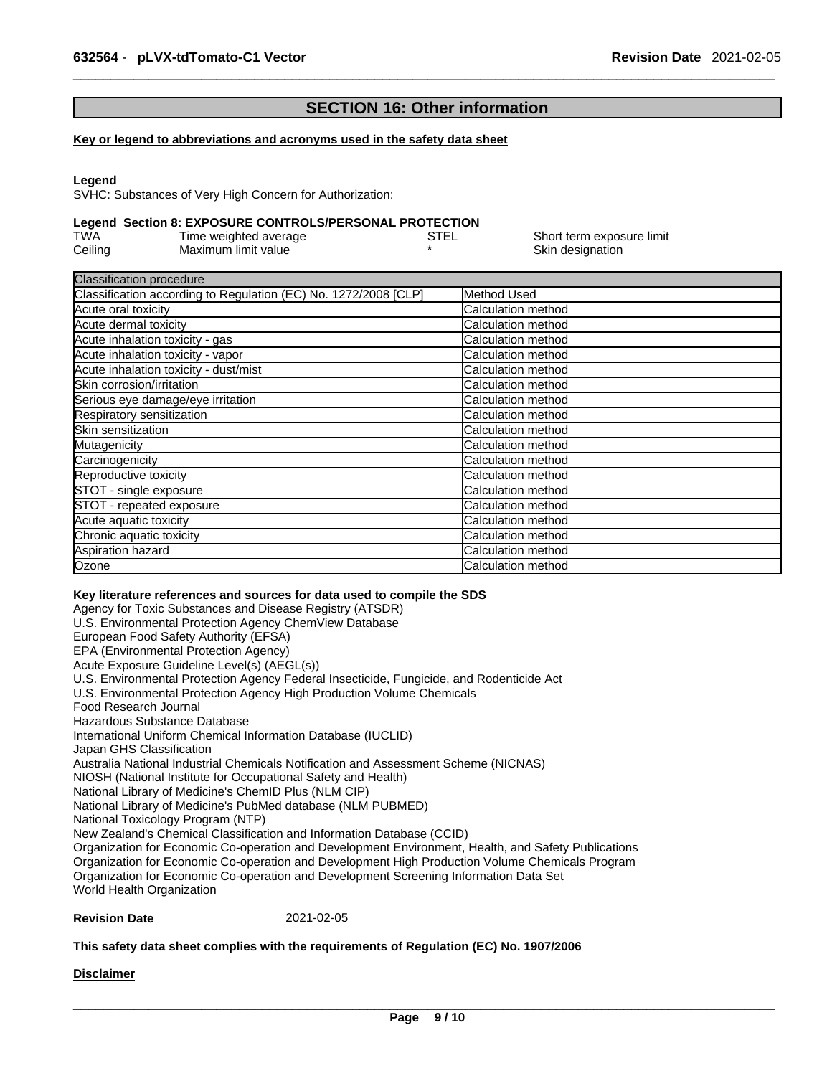# **SECTION 16: Other information**

#### **Key or legend to abbreviations and acronyms used in the safety data sheet**

#### **Legend**

SVHC: Substances of Very High Concern for Authorization:

# **Legend Section 8: EXPOSURE CONTROLS/PERSONAL PROTECTION**

| TWA     | Time weighted average | STEL | Short term exposure limit |
|---------|-----------------------|------|---------------------------|
| Ceiling | Maximum limit value   |      | Skin designation          |

| Method Used                |
|----------------------------|
| Calculation method         |
| Calculation method         |
| <b>Calculation method</b>  |
| <b>Calculation method</b>  |
| <b>Calculation method</b>  |
| <b>ICalculation method</b> |
| <b>Calculation method</b>  |
| Calculation method         |
| Calculation method         |
| Calculation method         |
| <b>Calculation method</b>  |
| <b>Calculation method</b>  |
| Calculation method         |
| <b>Calculation method</b>  |
| <b>Calculation method</b>  |
| <b>Calculation method</b>  |
| <b>ICalculation method</b> |
| Calculation method         |
|                            |

#### **Key literature references and sources for data used to compile the SDS**

Agency for Toxic Substances and Disease Registry (ATSDR) U.S. Environmental Protection Agency ChemView Database European Food Safety Authority (EFSA) EPA (Environmental Protection Agency) Acute Exposure Guideline Level(s) (AEGL(s)) U.S. Environmental Protection Agency Federal Insecticide, Fungicide, and Rodenticide Act U.S. Environmental Protection Agency High Production Volume Chemicals Food Research Journal Hazardous Substance Database International Uniform Chemical Information Database (IUCLID) Japan GHS Classification Australia National Industrial Chemicals Notification and Assessment Scheme (NICNAS) NIOSH (National Institute for Occupational Safety and Health) National Library of Medicine's ChemID Plus (NLM CIP) National Library of Medicine's PubMed database (NLM PUBMED) National Toxicology Program (NTP) New Zealand's Chemical Classification and Information Database (CCID) Organization for Economic Co-operation and Development Environment, Health, and Safety Publications Organization for Economic Co-operation and Development High Production Volume Chemicals Program Organization for Economic Co-operation and Development Screening Information Data Set World Health Organization

#### **Revision Date** 2021-02-05

#### **This safety data sheet complies with the requirements of Regulation (EC) No. 1907/2006**

#### **Disclaimer**